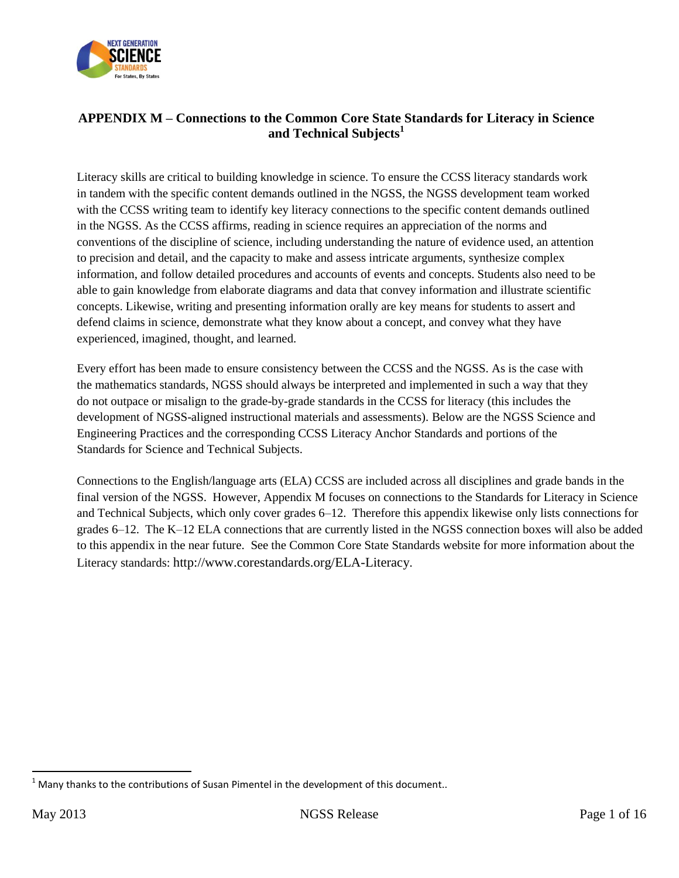

## **APPENDIX M – Connections to the Common Core State Standards for Literacy in Science and Technical Subjects<sup>1</sup>**

Literacy skills are critical to building knowledge in science. To ensure the CCSS literacy standards work in tandem with the specific content demands outlined in the NGSS, the NGSS development team worked with the CCSS writing team to identify key literacy connections to the specific content demands outlined in the NGSS. As the CCSS affirms, reading in science requires an appreciation of the norms and conventions of the discipline of science, including understanding the nature of evidence used, an attention to precision and detail, and the capacity to make and assess intricate arguments, synthesize complex information, and follow detailed procedures and accounts of events and concepts. Students also need to be able to gain knowledge from elaborate diagrams and data that convey information and illustrate scientific concepts. Likewise, writing and presenting information orally are key means for students to assert and defend claims in science, demonstrate what they know about a concept, and convey what they have experienced, imagined, thought, and learned.

Every effort has been made to ensure consistency between the CCSS and the NGSS. As is the case with the mathematics standards, NGSS should always be interpreted and implemented in such a way that they do not outpace or misalign to the grade-by-grade standards in the CCSS for literacy (this includes the development of NGSS-aligned instructional materials and assessments). Below are the NGSS Science and Engineering Practices and the corresponding CCSS Literacy Anchor Standards and portions of the Standards for Science and Technical Subjects.

Connections to the English/language arts (ELA) CCSS are included across all disciplines and grade bands in the final version of the NGSS. However, Appendix M focuses on connections to the Standards for Literacy in Science and Technical Subjects, which only cover grades 6–12. Therefore this appendix likewise only lists connections for grades 6–12. The K–12 ELA connections that are currently listed in the NGSS connection boxes will also be added to this appendix in the near future. See the Common Core State Standards website for more information about the Literacy standards: <http://www.corestandards.org/ELA-Literacy>.

 $\overline{a}$ 

 $<sup>1</sup>$  Many thanks to the contributions of Susan Pimentel in the development of this document..</sup>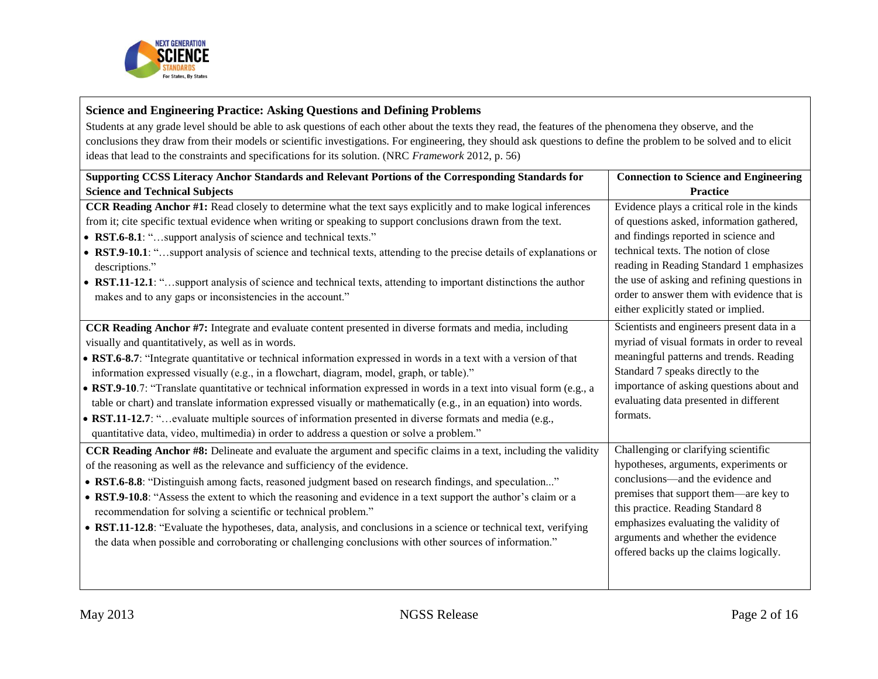

#### **Science and Engineering Practice: Asking Questions and Defining Problems** Students at any grade level should be able to ask questions of each other about the texts they read, the features of the phenomena they observe, and the conclusions they draw from their models or scientific investigations. For engineering, they should ask questions to define the problem to be solved and to elicit ideas that lead to the constraints and specifications for its solution. (NRC *Framework* 2012, p. 56) **Supporting CCSS Literacy Anchor Standards and Relevant Portions of the Corresponding Standards for Science and Technical Subjects Connection to Science and Engineering Practice CCR Reading Anchor #1:** Read closely to determine what the text says explicitly and to make logical inferences from it; cite specific textual evidence when writing or speaking to support conclusions drawn from the text. • RST.6-8.1: "...support analysis of science and technical texts." **RST.9-10.1**: "…support analysis of science and technical texts, attending to the precise details of explanations or descriptions." **RST.11-12.1**: "…support analysis of science and technical texts, attending to important distinctions the author makes and to any gaps or inconsistencies in the account." Evidence plays a critical role in the kinds of questions asked, information gathered, and findings reported in science and technical texts. The notion of close reading in Reading Standard 1 emphasizes the use of asking and refining questions in order to answer them with evidence that is either explicitly stated or implied. **CCR Reading Anchor #7:** Integrate and evaluate content presented in diverse formats and media, including visually and quantitatively, as well as in words. **RST.6-8.7**: "Integrate quantitative or technical information expressed in words in a text with a version of that information expressed visually (e.g., in a flowchart, diagram, model, graph, or table)." **RST.9-10**.7: "Translate quantitative or technical information expressed in words in a text into visual form (e.g., a table or chart) and translate information expressed visually or mathematically (e.g., in an equation) into words. **RST.11-12.7**: "…evaluate multiple sources of information presented in diverse formats and media (e.g., quantitative data, video, multimedia) in order to address a question or solve a problem." Scientists and engineers present data in a myriad of visual formats in order to reveal meaningful patterns and trends. Reading Standard 7 speaks directly to the importance of asking questions about and evaluating data presented in different formats. **CCR Reading Anchor #8:** Delineate and evaluate the argument and specific claims in a text, including the validity of the reasoning as well as the relevance and sufficiency of the evidence. • RST.6-8.8: "Distinguish among facts, reasoned judgment based on research findings, and speculation..." **RST.9-10.8**: "Assess the extent to which the reasoning and evidence in a text support the author's claim or a recommendation for solving a scientific or technical problem." **RST.11-12.8**: "Evaluate the hypotheses, data, analysis, and conclusions in a science or technical text, verifying the data when possible and corroborating or challenging conclusions with other sources of information." Challenging or clarifying scientific hypotheses, arguments, experiments or conclusions—and the evidence and premises that support them—are key to this practice. Reading Standard 8 emphasizes evaluating the validity of arguments and whether the evidence offered backs up the claims logically.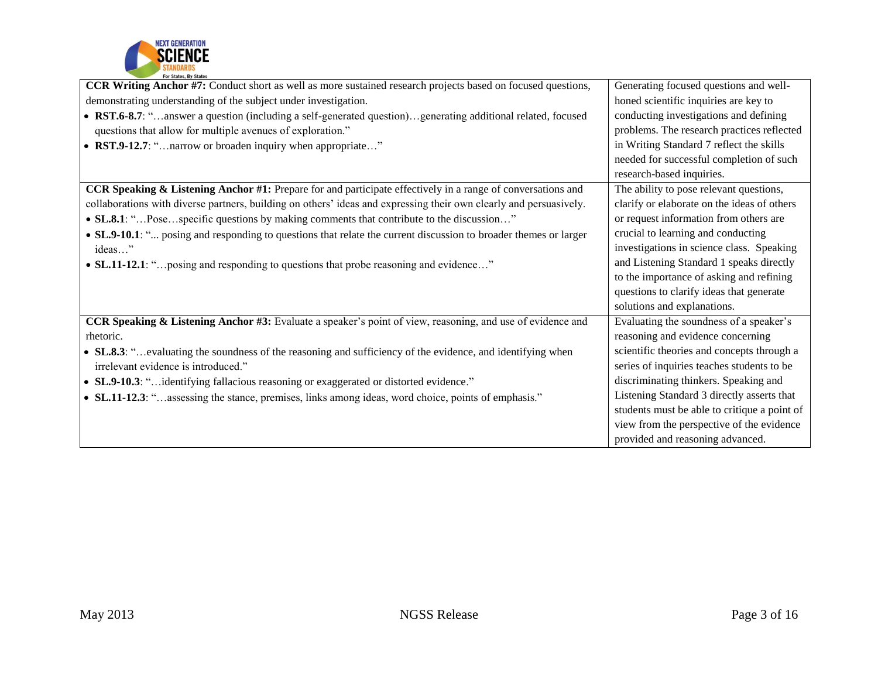

| <b>CCR Writing Anchor #7:</b> Conduct short as well as more sustained research projects based on focused questions,    | Generating focused questions and well-       |
|------------------------------------------------------------------------------------------------------------------------|----------------------------------------------|
| demonstrating understanding of the subject under investigation.                                                        | honed scientific inquiries are key to        |
| • RST.6-8.7: "answer a question (including a self-generated question)generating additional related, focused            | conducting investigations and defining       |
| questions that allow for multiple avenues of exploration."                                                             | problems. The research practices reflected   |
| • RST.9-12.7: " narrow or broaden inquiry when appropriate"                                                            | in Writing Standard 7 reflect the skills     |
|                                                                                                                        | needed for successful completion of such     |
|                                                                                                                        | research-based inquiries.                    |
| <b>CCR Speaking &amp; Listening Anchor #1:</b> Prepare for and participate effectively in a range of conversations and | The ability to pose relevant questions,      |
| collaborations with diverse partners, building on others' ideas and expressing their own clearly and persuasively.     | clarify or elaborate on the ideas of others  |
| • SL.8.1: "Posespecific questions by making comments that contribute to the discussion"                                | or request information from others are       |
| • SL.9-10.1: " posing and responding to questions that relate the current discussion to broader themes or larger       | crucial to learning and conducting           |
| ideas"                                                                                                                 | investigations in science class. Speaking    |
| • SL.11-12.1: " posing and responding to questions that probe reasoning and evidence"                                  | and Listening Standard 1 speaks directly     |
|                                                                                                                        | to the importance of asking and refining     |
|                                                                                                                        | questions to clarify ideas that generate     |
|                                                                                                                        | solutions and explanations.                  |
| <b>CCR Speaking &amp; Listening Anchor #3:</b> Evaluate a speaker's point of view, reasoning, and use of evidence and  | Evaluating the soundness of a speaker's      |
| rhetoric.                                                                                                              | reasoning and evidence concerning            |
| • SL.8.3: "evaluating the soundness of the reasoning and sufficiency of the evidence, and identifying when             | scientific theories and concepts through a   |
| irrelevant evidence is introduced."                                                                                    | series of inquiries teaches students to be   |
| • SL.9-10.3: "identifying fallacious reasoning or exaggerated or distorted evidence."                                  | discriminating thinkers. Speaking and        |
| • SL.11-12.3: "assessing the stance, premises, links among ideas, word choice, points of emphasis."                    | Listening Standard 3 directly asserts that   |
|                                                                                                                        | students must be able to critique a point of |
|                                                                                                                        | view from the perspective of the evidence    |
|                                                                                                                        | provided and reasoning advanced.             |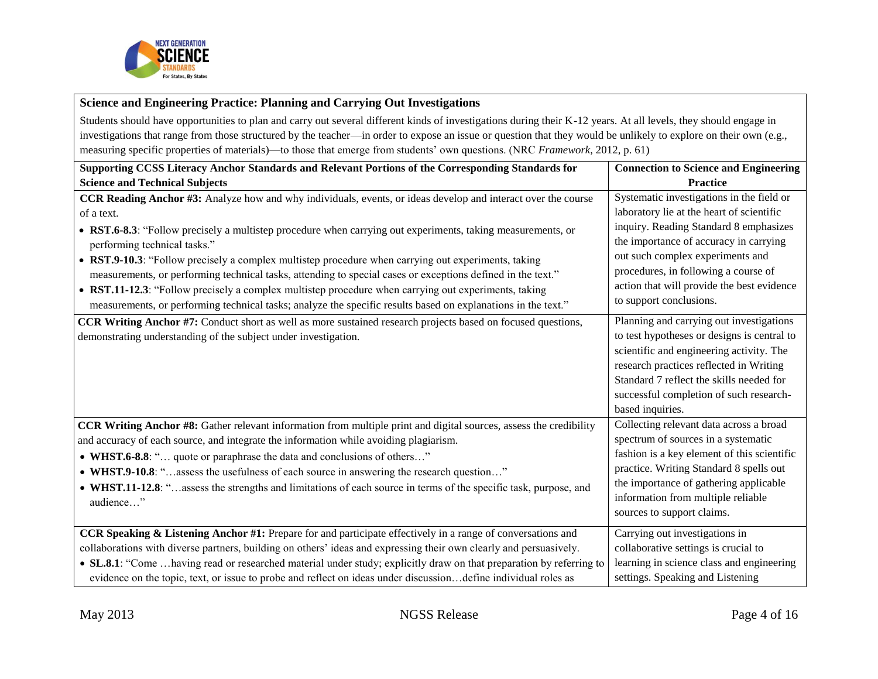

# **Science and Engineering Practice: Planning and Carrying Out Investigations**

Students should have opportunities to plan and carry out several different kinds of investigations during their K-12 years. At all levels, they should engage in investigations that range from those structured by the teacher—in order to expose an issue or question that they would be unlikely to explore on their own (e.g., measuring specific properties of materials)—to those that emerge from students' own questions. (NRC *Framework*, 2012, p. 61)

| Supporting CCSS Literacy Anchor Standards and Relevant Portions of the Corresponding Standards for                                                                                                                                                                                                                                                                                                                                                                                                                                                                                                       | <b>Connection to Science and Engineering</b>                                                                                                                                                                                                                                                                                    |
|----------------------------------------------------------------------------------------------------------------------------------------------------------------------------------------------------------------------------------------------------------------------------------------------------------------------------------------------------------------------------------------------------------------------------------------------------------------------------------------------------------------------------------------------------------------------------------------------------------|---------------------------------------------------------------------------------------------------------------------------------------------------------------------------------------------------------------------------------------------------------------------------------------------------------------------------------|
| <b>Science and Technical Subjects</b>                                                                                                                                                                                                                                                                                                                                                                                                                                                                                                                                                                    | <b>Practice</b>                                                                                                                                                                                                                                                                                                                 |
| CCR Reading Anchor #3: Analyze how and why individuals, events, or ideas develop and interact over the course<br>of a text.<br>• RST.6-8.3: "Follow precisely a multistep procedure when carrying out experiments, taking measurements, or<br>performing technical tasks."<br>• RST.9-10.3: "Follow precisely a complex multistep procedure when carrying out experiments, taking<br>measurements, or performing technical tasks, attending to special cases or exceptions defined in the text."<br>• RST.11-12.3: "Follow precisely a complex multistep procedure when carrying out experiments, taking | Systematic investigations in the field or<br>laboratory lie at the heart of scientific<br>inquiry. Reading Standard 8 emphasizes<br>the importance of accuracy in carrying<br>out such complex experiments and<br>procedures, in following a course of<br>action that will provide the best evidence<br>to support conclusions. |
| measurements, or performing technical tasks; analyze the specific results based on explanations in the text."<br><b>CCR Writing Anchor #7:</b> Conduct short as well as more sustained research projects based on focused questions,<br>demonstrating understanding of the subject under investigation.                                                                                                                                                                                                                                                                                                  | Planning and carrying out investigations<br>to test hypotheses or designs is central to<br>scientific and engineering activity. The<br>research practices reflected in Writing<br>Standard 7 reflect the skills needed for<br>successful completion of such research-<br>based inquiries.                                       |
| <b>CCR Writing Anchor #8:</b> Gather relevant information from multiple print and digital sources, assess the credibility<br>and accuracy of each source, and integrate the information while avoiding plagiarism.<br>• WHST.6-8.8: " quote or paraphrase the data and conclusions of others"<br>• WHST.9-10.8: "assess the usefulness of each source in answering the research question"<br>• WHST.11-12.8: " assess the strengths and limitations of each source in terms of the specific task, purpose, and<br>audience"                                                                              | Collecting relevant data across a broad<br>spectrum of sources in a systematic<br>fashion is a key element of this scientific<br>practice. Writing Standard 8 spells out<br>the importance of gathering applicable<br>information from multiple reliable<br>sources to support claims.                                          |
| CCR Speaking & Listening Anchor #1: Prepare for and participate effectively in a range of conversations and<br>collaborations with diverse partners, building on others' ideas and expressing their own clearly and persuasively.<br>• SL.8.1: "Come  having read or researched material under study; explicitly draw on that preparation by referring to<br>evidence on the topic, text, or issue to probe and reflect on ideas under discussion define individual roles as                                                                                                                             | Carrying out investigations in<br>collaborative settings is crucial to<br>learning in science class and engineering<br>settings. Speaking and Listening                                                                                                                                                                         |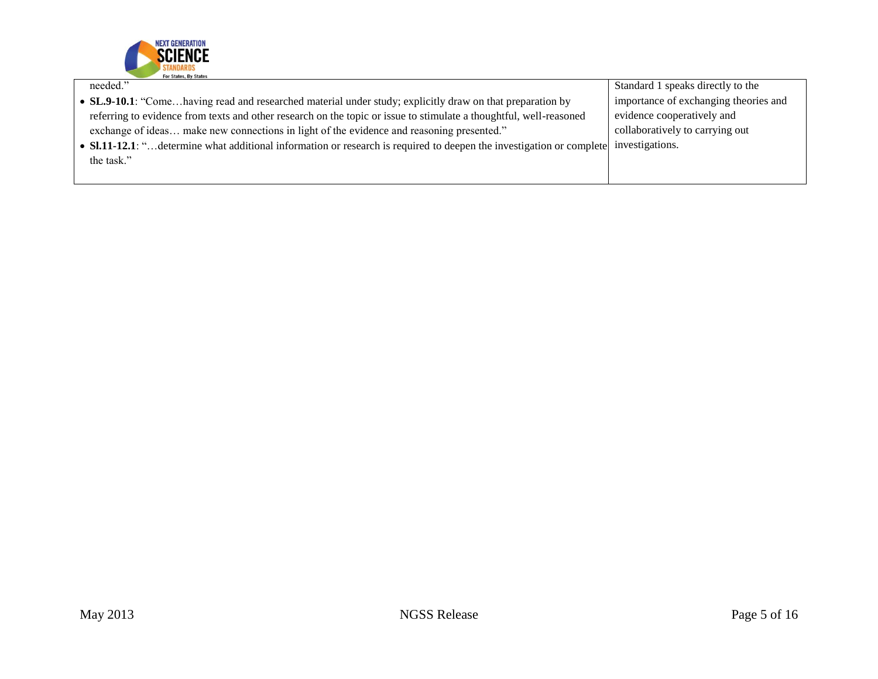

| needed."                                                                                                                              | Standard 1 speaks directly to the     |
|---------------------------------------------------------------------------------------------------------------------------------------|---------------------------------------|
| • SL.9-10.1: "Comehaving read and researched material under study; explicitly draw on that preparation by                             | importance of exchanging theories and |
| referring to evidence from texts and other research on the topic or issue to stimulate a thoughtful, well-reasoned                    | evidence cooperatively and            |
| exchange of ideas make new connections in light of the evidence and reasoning presented."                                             | collaboratively to carrying out       |
| • SI.11-12.1: " determine what additional information or research is required to deepen the investigation or complete investigations. |                                       |
| the task."                                                                                                                            |                                       |
|                                                                                                                                       |                                       |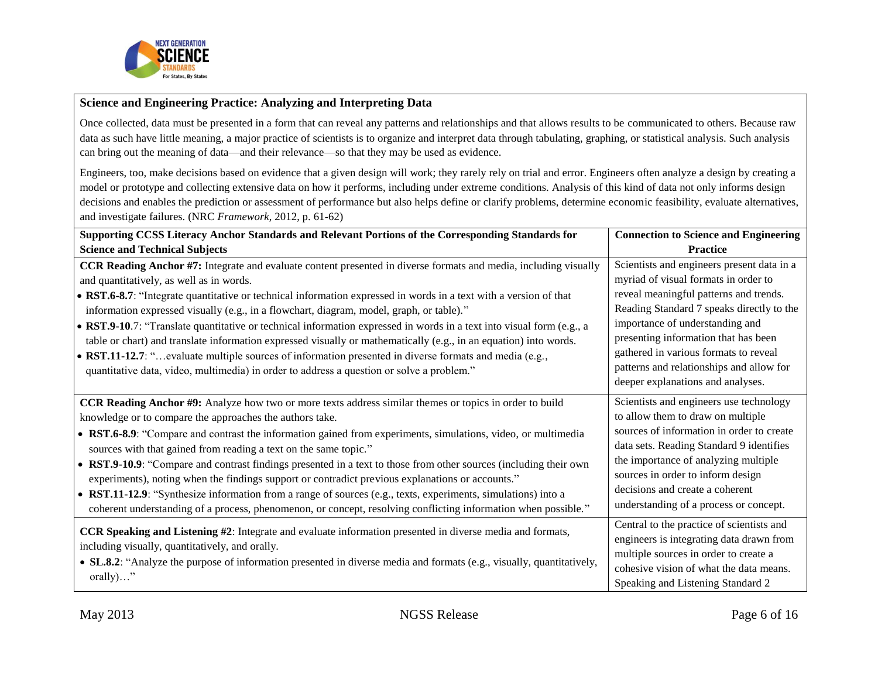

#### **Science and Engineering Practice: Analyzing and Interpreting Data**

Once collected, data must be presented in a form that can reveal any patterns and relationships and that allows results to be communicated to others. Because raw data as such have little meaning, a major practice of scientists is to organize and interpret data through tabulating, graphing, or statistical analysis. Such analysis can bring out the meaning of data—and their relevance—so that they may be used as evidence.

Engineers, too, make decisions based on evidence that a given design will work; they rarely rely on trial and error. Engineers often analyze a design by creating a model or prototype and collecting extensive data on how it performs, including under extreme conditions. Analysis of this kind of data not only informs design decisions and enables the prediction or assessment of performance but also helps define or clarify problems, determine economic feasibility, evaluate alternatives, and investigate failures. (NRC *Framework*, 2012, p. 61-62)

| Supporting CCSS Literacy Anchor Standards and Relevant Portions of the Corresponding Standards for                                                                                                                                                                                                                                                                                                                                                                                                                                                                                                                                                                                                                                                                                                                                        | <b>Connection to Science and Engineering</b>                                                                                                                                                                                                                                                                                                                                   |
|-------------------------------------------------------------------------------------------------------------------------------------------------------------------------------------------------------------------------------------------------------------------------------------------------------------------------------------------------------------------------------------------------------------------------------------------------------------------------------------------------------------------------------------------------------------------------------------------------------------------------------------------------------------------------------------------------------------------------------------------------------------------------------------------------------------------------------------------|--------------------------------------------------------------------------------------------------------------------------------------------------------------------------------------------------------------------------------------------------------------------------------------------------------------------------------------------------------------------------------|
| <b>Science and Technical Subjects</b>                                                                                                                                                                                                                                                                                                                                                                                                                                                                                                                                                                                                                                                                                                                                                                                                     | <b>Practice</b>                                                                                                                                                                                                                                                                                                                                                                |
| <b>CCR Reading Anchor #7:</b> Integrate and evaluate content presented in diverse formats and media, including visually<br>and quantitatively, as well as in words.<br>• RST.6-8.7: "Integrate quantitative or technical information expressed in words in a text with a version of that<br>information expressed visually (e.g., in a flowchart, diagram, model, graph, or table)."<br>• RST.9-10.7: "Translate quantitative or technical information expressed in words in a text into visual form (e.g., a<br>table or chart) and translate information expressed visually or mathematically (e.g., in an equation) into words.<br>• RST.11-12.7: "evaluate multiple sources of information presented in diverse formats and media (e.g.,<br>quantitative data, video, multimedia) in order to address a question or solve a problem." | Scientists and engineers present data in a<br>myriad of visual formats in order to<br>reveal meaningful patterns and trends.<br>Reading Standard 7 speaks directly to the<br>importance of understanding and<br>presenting information that has been<br>gathered in various formats to reveal<br>patterns and relationships and allow for<br>deeper explanations and analyses. |
| CCR Reading Anchor #9: Analyze how two or more texts address similar themes or topics in order to build<br>knowledge or to compare the approaches the authors take.<br>• RST.6-8.9: "Compare and contrast the information gained from experiments, simulations, video, or multimedia<br>sources with that gained from reading a text on the same topic."<br>• RST.9-10.9: "Compare and contrast findings presented in a text to those from other sources (including their own<br>experiments), noting when the findings support or contradict previous explanations or accounts."<br>• RST.11-12.9: "Synthesize information from a range of sources (e.g., texts, experiments, simulations) into a<br>coherent understanding of a process, phenomenon, or concept, resolving conflicting information when possible."                      | Scientists and engineers use technology<br>to allow them to draw on multiple<br>sources of information in order to create<br>data sets. Reading Standard 9 identifies<br>the importance of analyzing multiple<br>sources in order to inform design<br>decisions and create a coherent<br>understanding of a process or concept.                                                |
| <b>CCR Speaking and Listening #2:</b> Integrate and evaluate information presented in diverse media and formats,<br>including visually, quantitatively, and orally.<br>• SL.8.2: "Analyze the purpose of information presented in diverse media and formats (e.g., visually, quantitatively,<br>$orally) \dots$ "                                                                                                                                                                                                                                                                                                                                                                                                                                                                                                                         | Central to the practice of scientists and<br>engineers is integrating data drawn from<br>multiple sources in order to create a<br>cohesive vision of what the data means.<br>Speaking and Listening Standard 2                                                                                                                                                                 |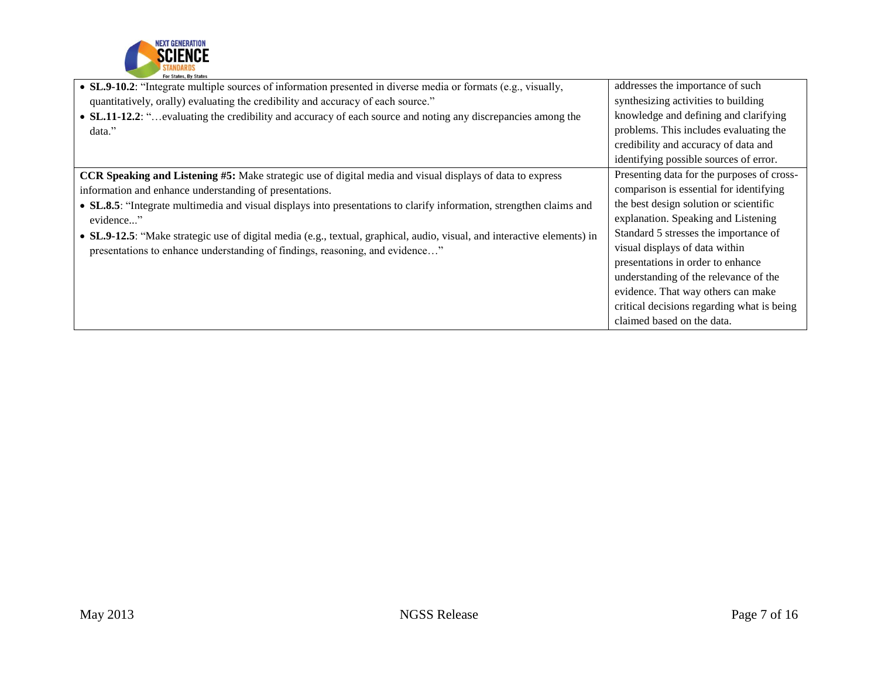

| • SL.9-10.2: "Integrate multiple sources of information presented in diverse media or formats (e.g., visually,           | addresses the importance of such           |
|--------------------------------------------------------------------------------------------------------------------------|--------------------------------------------|
| quantitatively, orally) evaluating the credibility and accuracy of each source."                                         | synthesizing activities to building        |
| • SL.11-12.2: " evaluating the credibility and accuracy of each source and noting any discrepancies among the            | knowledge and defining and clarifying      |
| data."                                                                                                                   | problems. This includes evaluating the     |
|                                                                                                                          | credibility and accuracy of data and       |
|                                                                                                                          | identifying possible sources of error.     |
| CCR Speaking and Listening #5: Make strategic use of digital media and visual displays of data to express                | Presenting data for the purposes of cross- |
| information and enhance understanding of presentations.                                                                  | comparison is essential for identifying    |
| • SL.8.5: "Integrate multimedia and visual displays into presentations to clarify information, strengthen claims and     | the best design solution or scientific     |
| evidence"                                                                                                                | explanation. Speaking and Listening        |
| • SL.9-12.5: "Make strategic use of digital media (e.g., textual, graphical, audio, visual, and interactive elements) in | Standard 5 stresses the importance of      |
| presentations to enhance understanding of findings, reasoning, and evidence"                                             | visual displays of data within             |
|                                                                                                                          | presentations in order to enhance          |
|                                                                                                                          | understanding of the relevance of the      |
|                                                                                                                          | evidence. That way others can make         |
|                                                                                                                          | critical decisions regarding what is being |
|                                                                                                                          | claimed based on the data.                 |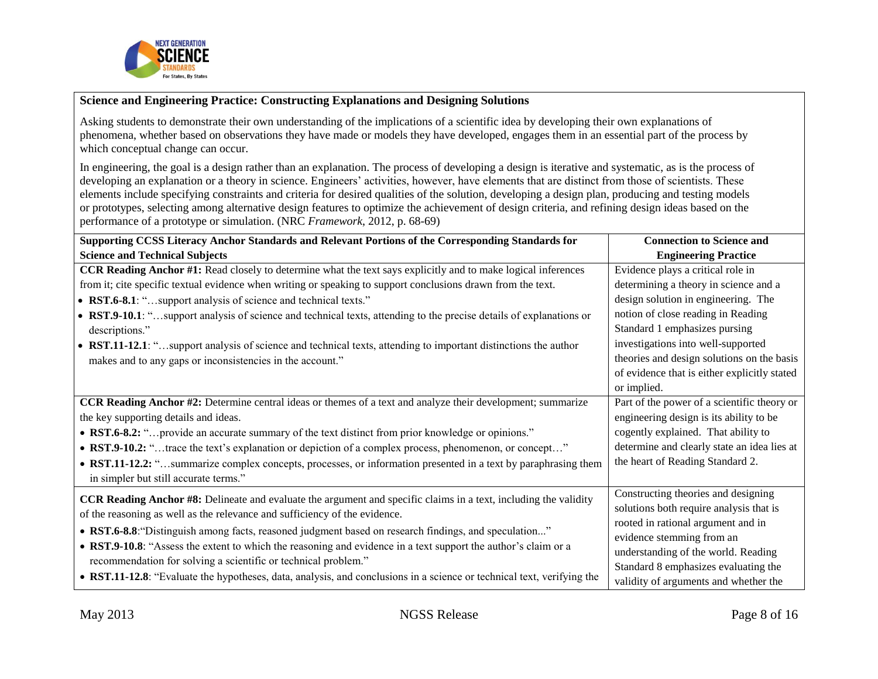

### **Science and Engineering Practice: Constructing Explanations and Designing Solutions**

Asking students to demonstrate their own understanding of the implications of a scientific idea by developing their own explanations of phenomena, whether based on observations they have made or models they have developed, engages them in an essential part of the process by which conceptual change can occur.

In engineering, the goal is a design rather than an explanation. The process of developing a design is iterative and systematic, as is the process of developing an explanation or a theory in science. Engineers' activities, however, have elements that are distinct from those of scientists. These elements include specifying constraints and criteria for desired qualities of the solution, developing a design plan, producing and testing models or prototypes, selecting among alternative design features to optimize the achievement of design criteria, and refining design ideas based on the performance of a prototype or simulation. (NRC *Framework*, 2012, p. 68-69)

| Supporting CCSS Literacy Anchor Standards and Relevant Portions of the Corresponding Standards for                      | <b>Connection to Science and</b>             |
|-------------------------------------------------------------------------------------------------------------------------|----------------------------------------------|
| <b>Science and Technical Subjects</b>                                                                                   | <b>Engineering Practice</b>                  |
| CCR Reading Anchor #1: Read closely to determine what the text says explicitly and to make logical inferences           | Evidence plays a critical role in            |
| from it; cite specific textual evidence when writing or speaking to support conclusions drawn from the text.            | determining a theory in science and a        |
| • RST.6-8.1: "support analysis of science and technical texts."                                                         | design solution in engineering. The          |
| • RST.9-10.1: "support analysis of science and technical texts, attending to the precise details of explanations or     | notion of close reading in Reading           |
| descriptions."                                                                                                          | Standard 1 emphasizes pursing                |
| • RST.11-12.1: "support analysis of science and technical texts, attending to important distinctions the author         | investigations into well-supported           |
| makes and to any gaps or inconsistencies in the account."                                                               | theories and design solutions on the basis   |
|                                                                                                                         | of evidence that is either explicitly stated |
|                                                                                                                         | or implied.                                  |
| <b>CCR Reading Anchor #2:</b> Determine central ideas or themes of a text and analyze their development; summarize      | Part of the power of a scientific theory or  |
| the key supporting details and ideas.                                                                                   | engineering design is its ability to be      |
| • RST.6-8.2: " provide an accurate summary of the text distinct from prior knowledge or opinions."                      | cogently explained. That ability to          |
| • RST.9-10.2: "trace the text's explanation or depiction of a complex process, phenomenon, or concept"                  | determine and clearly state an idea lies at  |
| • RST.11-12.2: "summarize complex concepts, processes, or information presented in a text by paraphrasing them          | the heart of Reading Standard 2.             |
| in simpler but still accurate terms."                                                                                   |                                              |
| <b>CCR Reading Anchor #8:</b> Delineate and evaluate the argument and specific claims in a text, including the validity | Constructing theories and designing          |
| of the reasoning as well as the relevance and sufficiency of the evidence.                                              | solutions both require analysis that is      |
|                                                                                                                         | rooted in rational argument and in           |
| • RST.6-8.8: "Distinguish among facts, reasoned judgment based on research findings, and speculation"                   | evidence stemming from an                    |
| • RST.9-10.8: "Assess the extent to which the reasoning and evidence in a text support the author's claim or a          | understanding of the world. Reading          |
| recommendation for solving a scientific or technical problem."                                                          | Standard 8 emphasizes evaluating the         |
| • RST.11-12.8: "Evaluate the hypotheses, data, analysis, and conclusions in a science or technical text, verifying the  | validity of arguments and whether the        |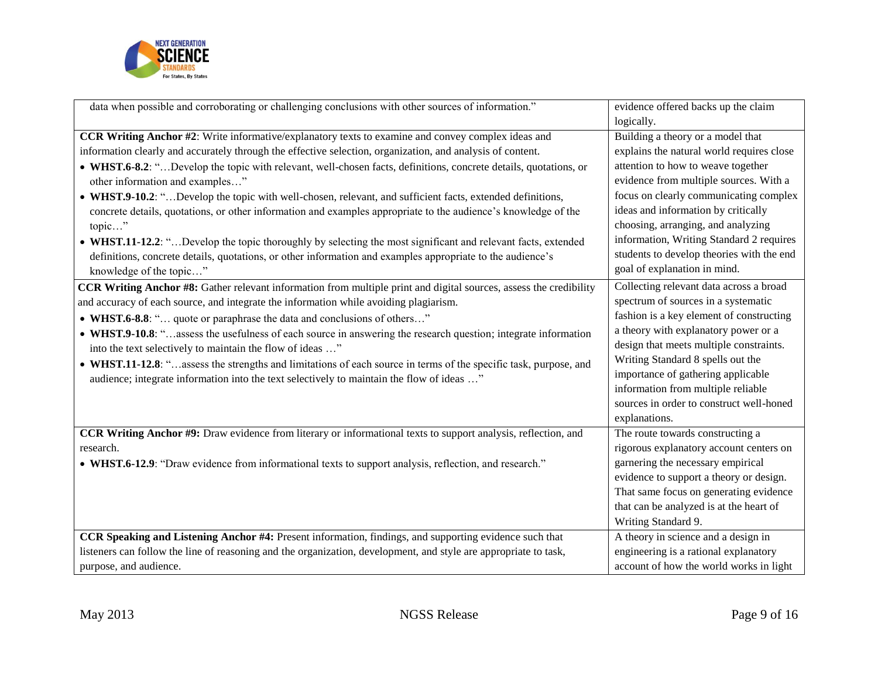

| data when possible and corroborating or challenging conclusions with other sources of information."                | evidence offered backs up the claim       |
|--------------------------------------------------------------------------------------------------------------------|-------------------------------------------|
|                                                                                                                    | logically.                                |
| CCR Writing Anchor #2: Write informative/explanatory texts to examine and convey complex ideas and                 | Building a theory or a model that         |
| information clearly and accurately through the effective selection, organization, and analysis of content.         | explains the natural world requires close |
| • WHST.6-8.2: "Develop the topic with relevant, well-chosen facts, definitions, concrete details, quotations, or   | attention to how to weave together        |
| other information and examples"                                                                                    | evidence from multiple sources. With a    |
| • WHST.9-10.2: "Develop the topic with well-chosen, relevant, and sufficient facts, extended definitions,          | focus on clearly communicating complex    |
| concrete details, quotations, or other information and examples appropriate to the audience's knowledge of the     | ideas and information by critically       |
| topic"                                                                                                             | choosing, arranging, and analyzing        |
| • WHST.11-12.2: "Develop the topic thoroughly by selecting the most significant and relevant facts, extended       | information, Writing Standard 2 requires  |
| definitions, concrete details, quotations, or other information and examples appropriate to the audience's         | students to develop theories with the end |
| knowledge of the topic"                                                                                            | goal of explanation in mind.              |
| CCR Writing Anchor #8: Gather relevant information from multiple print and digital sources, assess the credibility | Collecting relevant data across a broad   |
| and accuracy of each source, and integrate the information while avoiding plagiarism.                              | spectrum of sources in a systematic       |
| • WHST.6-8.8: " quote or paraphrase the data and conclusions of others"                                            | fashion is a key element of constructing  |
| • WHST.9-10.8: "assess the usefulness of each source in answering the research question; integrate information     | a theory with explanatory power or a      |
| into the text selectively to maintain the flow of ideas "                                                          | design that meets multiple constraints.   |
| • WHST.11-12.8: "assess the strengths and limitations of each source in terms of the specific task, purpose, and   | Writing Standard 8 spells out the         |
| audience; integrate information into the text selectively to maintain the flow of ideas "                          | importance of gathering applicable        |
|                                                                                                                    | information from multiple reliable        |
|                                                                                                                    | sources in order to construct well-honed  |
|                                                                                                                    | explanations.                             |
| CCR Writing Anchor #9: Draw evidence from literary or informational texts to support analysis, reflection, and     | The route towards constructing a          |
| research.                                                                                                          | rigorous explanatory account centers on   |
| • WHST.6-12.9: "Draw evidence from informational texts to support analysis, reflection, and research."             | garnering the necessary empirical         |
|                                                                                                                    | evidence to support a theory or design.   |
|                                                                                                                    | That same focus on generating evidence    |
|                                                                                                                    | that can be analyzed is at the heart of   |
|                                                                                                                    | Writing Standard 9.                       |
| CCR Speaking and Listening Anchor #4: Present information, findings, and supporting evidence such that             | A theory in science and a design in       |
| listeners can follow the line of reasoning and the organization, development, and style are appropriate to task,   | engineering is a rational explanatory     |
| purpose, and audience.                                                                                             | account of how the world works in light   |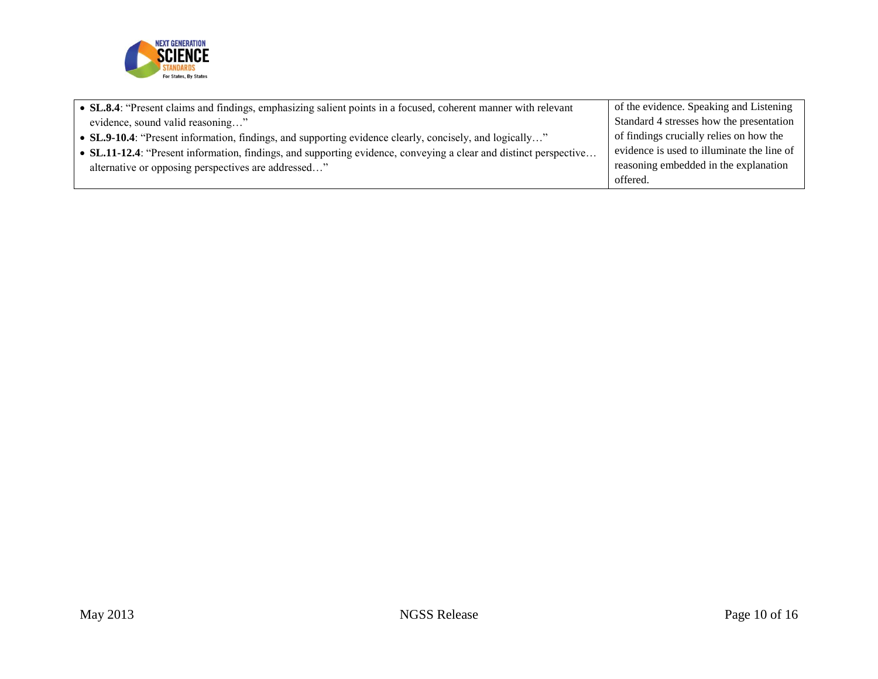

| • SL.8.4: "Present claims and findings, emphasizing salient points in a focused, coherent manner with relevant    | of the evidence. Speaking and Listening    |
|-------------------------------------------------------------------------------------------------------------------|--------------------------------------------|
| evidence, sound valid reasoning"                                                                                  | Standard 4 stresses how the presentation   |
| • SL.9-10.4: "Present information, findings, and supporting evidence clearly, concisely, and logically"           | of findings crucially relies on how the    |
| • SL.11-12.4: "Present information, findings, and supporting evidence, conveying a clear and distinct perspective | evidence is used to illuminate the line of |
| alternative or opposing perspectives are addressed"                                                               | reasoning embedded in the explanation      |
|                                                                                                                   | offered.                                   |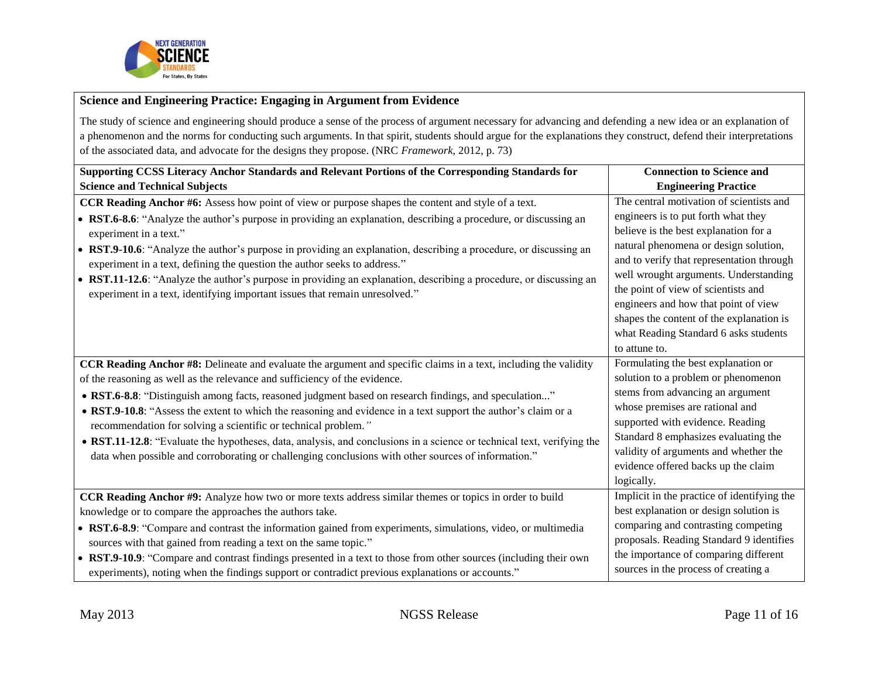

### **Science and Engineering Practice: Engaging in Argument from Evidence**

The study of science and engineering should produce a sense of the process of argument necessary for advancing and defending a new idea or an explanation of a phenomenon and the norms for conducting such arguments. In that spirit, students should argue for the explanations they construct, defend their interpretations of the associated data, and advocate for the designs they propose. (NRC *Framework*, 2012, p. 73)

| Supporting CCSS Literacy Anchor Standards and Relevant Portions of the Corresponding Standards for                     | <b>Connection to Science and</b>            |
|------------------------------------------------------------------------------------------------------------------------|---------------------------------------------|
| <b>Science and Technical Subjects</b>                                                                                  | <b>Engineering Practice</b>                 |
| <b>CCR Reading Anchor #6:</b> Assess how point of view or purpose shapes the content and style of a text.              | The central motivation of scientists and    |
| • RST.6-8.6: "Analyze the author's purpose in providing an explanation, describing a procedure, or discussing an       | engineers is to put forth what they         |
| experiment in a text."                                                                                                 | believe is the best explanation for a       |
| • RST.9-10.6: "Analyze the author's purpose in providing an explanation, describing a procedure, or discussing an      | natural phenomena or design solution,       |
| experiment in a text, defining the question the author seeks to address."                                              | and to verify that representation through   |
| • RST.11-12.6: "Analyze the author's purpose in providing an explanation, describing a procedure, or discussing an     | well wrought arguments. Understanding       |
| experiment in a text, identifying important issues that remain unresolved."                                            | the point of view of scientists and         |
|                                                                                                                        | engineers and how that point of view        |
|                                                                                                                        | shapes the content of the explanation is    |
|                                                                                                                        | what Reading Standard 6 asks students       |
|                                                                                                                        | to attune to.                               |
| CCR Reading Anchor #8: Delineate and evaluate the argument and specific claims in a text, including the validity       | Formulating the best explanation or         |
| of the reasoning as well as the relevance and sufficiency of the evidence.                                             | solution to a problem or phenomenon         |
| • RST.6-8.8: "Distinguish among facts, reasoned judgment based on research findings, and speculation"                  | stems from advancing an argument            |
| • RST.9-10.8: "Assess the extent to which the reasoning and evidence in a text support the author's claim or a         | whose premises are rational and             |
| recommendation for solving a scientific or technical problem."                                                         | supported with evidence. Reading            |
| • RST.11-12.8: "Evaluate the hypotheses, data, analysis, and conclusions in a science or technical text, verifying the | Standard 8 emphasizes evaluating the        |
| data when possible and corroborating or challenging conclusions with other sources of information."                    | validity of arguments and whether the       |
|                                                                                                                        | evidence offered backs up the claim         |
|                                                                                                                        | logically.                                  |
| CCR Reading Anchor #9: Analyze how two or more texts address similar themes or topics in order to build                | Implicit in the practice of identifying the |
| knowledge or to compare the approaches the authors take.                                                               | best explanation or design solution is      |
| • RST.6-8.9: "Compare and contrast the information gained from experiments, simulations, video, or multimedia          | comparing and contrasting competing         |
| sources with that gained from reading a text on the same topic."                                                       | proposals. Reading Standard 9 identifies    |
| • RST.9-10.9: "Compare and contrast findings presented in a text to those from other sources (including their own      | the importance of comparing different       |
| experiments), noting when the findings support or contradict previous explanations or accounts."                       | sources in the process of creating a        |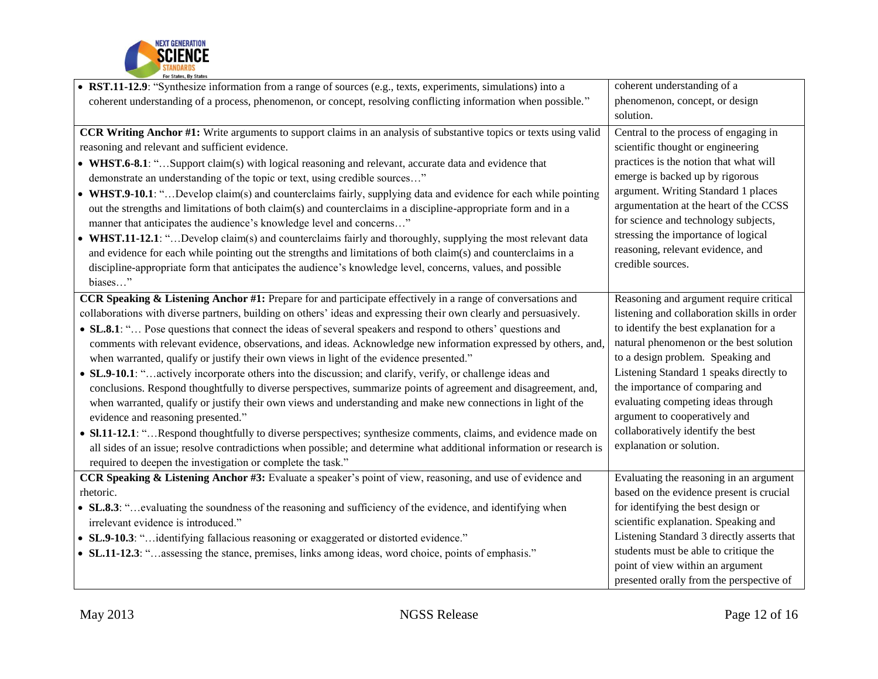

| • RST.11-12.9: "Synthesize information from a range of sources (e.g., texts, experiments, simulations) into a             | coherent understanding of a                 |
|---------------------------------------------------------------------------------------------------------------------------|---------------------------------------------|
| coherent understanding of a process, phenomenon, or concept, resolving conflicting information when possible."            | phenomenon, concept, or design              |
|                                                                                                                           | solution.                                   |
| <b>CCR Writing Anchor #1:</b> Write arguments to support claims in an analysis of substantive topics or texts using valid | Central to the process of engaging in       |
| reasoning and relevant and sufficient evidence.                                                                           | scientific thought or engineering           |
| • WHST.6-8.1: "Support claim(s) with logical reasoning and relevant, accurate data and evidence that                      | practices is the notion that what will      |
| demonstrate an understanding of the topic or text, using credible sources"                                                | emerge is backed up by rigorous             |
| • WHST.9-10.1: "Develop claim(s) and counterclaims fairly, supplying data and evidence for each while pointing            | argument. Writing Standard 1 places         |
| out the strengths and limitations of both claim(s) and counterclaims in a discipline-appropriate form and in a            | argumentation at the heart of the CCSS      |
| manner that anticipates the audience's knowledge level and concerns"                                                      | for science and technology subjects,        |
| • WHST.11-12.1: "Develop claim(s) and counterclaims fairly and thoroughly, supplying the most relevant data               | stressing the importance of logical         |
| and evidence for each while pointing out the strengths and limitations of both claim(s) and counterclaims in a            | reasoning, relevant evidence, and           |
| discipline-appropriate form that anticipates the audience's knowledge level, concerns, values, and possible               | credible sources.                           |
| biases"                                                                                                                   |                                             |
| CCR Speaking & Listening Anchor #1: Prepare for and participate effectively in a range of conversations and               | Reasoning and argument require critical     |
| collaborations with diverse partners, building on others' ideas and expressing their own clearly and persuasively.        | listening and collaboration skills in order |
| • SL.8.1: " Pose questions that connect the ideas of several speakers and respond to others' questions and                | to identify the best explanation for a      |
| comments with relevant evidence, observations, and ideas. Acknowledge new information expressed by others, and,           | natural phenomenon or the best solution     |
| when warranted, qualify or justify their own views in light of the evidence presented."                                   | to a design problem. Speaking and           |
| • SL.9-10.1: "actively incorporate others into the discussion; and clarify, verify, or challenge ideas and                | Listening Standard 1 speaks directly to     |
| conclusions. Respond thoughtfully to diverse perspectives, summarize points of agreement and disagreement, and,           | the importance of comparing and             |
| when warranted, qualify or justify their own views and understanding and make new connections in light of the             | evaluating competing ideas through          |
| evidence and reasoning presented."                                                                                        | argument to cooperatively and               |
| • SI.11-12.1: "Respond thoughtfully to diverse perspectives; synthesize comments, claims, and evidence made on            | collaboratively identify the best           |
| all sides of an issue; resolve contradictions when possible; and determine what additional information or research is     | explanation or solution.                    |
| required to deepen the investigation or complete the task."                                                               |                                             |
| <b>CCR Speaking &amp; Listening Anchor #3:</b> Evaluate a speaker's point of view, reasoning, and use of evidence and     | Evaluating the reasoning in an argument     |
| rhetoric.                                                                                                                 | based on the evidence present is crucial    |
| • SL.8.3: "evaluating the soundness of the reasoning and sufficiency of the evidence, and identifying when                | for identifying the best design or          |
| irrelevant evidence is introduced."                                                                                       | scientific explanation. Speaking and        |
| • SL.9-10.3: "identifying fallacious reasoning or exaggerated or distorted evidence."                                     | Listening Standard 3 directly asserts that  |
| • SL.11-12.3: "assessing the stance, premises, links among ideas, word choice, points of emphasis."                       | students must be able to critique the       |
|                                                                                                                           | point of view within an argument            |
|                                                                                                                           | presented orally from the perspective of    |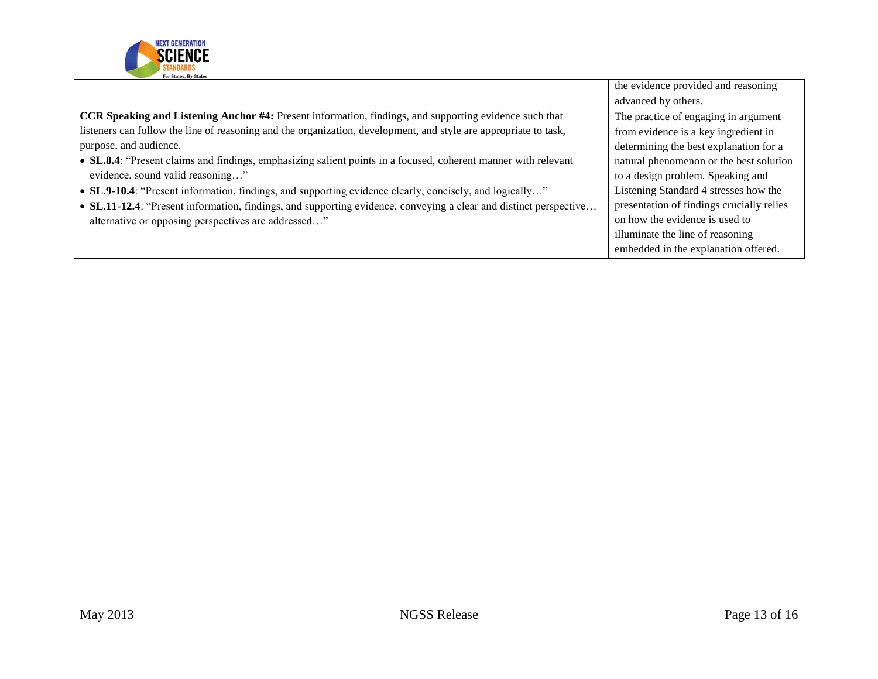

|                                                                                                                   | the evidence provided and reasoning       |
|-------------------------------------------------------------------------------------------------------------------|-------------------------------------------|
|                                                                                                                   | advanced by others.                       |
| CCR Speaking and Listening Anchor #4: Present information, findings, and supporting evidence such that            | The practice of engaging in argument      |
| listeners can follow the line of reasoning and the organization, development, and style are appropriate to task,  | from evidence is a key ingredient in      |
| purpose, and audience.                                                                                            | determining the best explanation for a    |
| • SL.8.4: "Present claims and findings, emphasizing salient points in a focused, coherent manner with relevant    | natural phenomenon or the best solution   |
| evidence, sound valid reasoning"                                                                                  | to a design problem. Speaking and         |
| • SL.9-10.4: "Present information, findings, and supporting evidence clearly, concisely, and logically"           | Listening Standard 4 stresses how the     |
| • SL.11-12.4: "Present information, findings, and supporting evidence, conveying a clear and distinct perspective | presentation of findings crucially relies |
| alternative or opposing perspectives are addressed"                                                               | on how the evidence is used to            |
|                                                                                                                   | illuminate the line of reasoning          |
|                                                                                                                   | embedded in the explanation offered.      |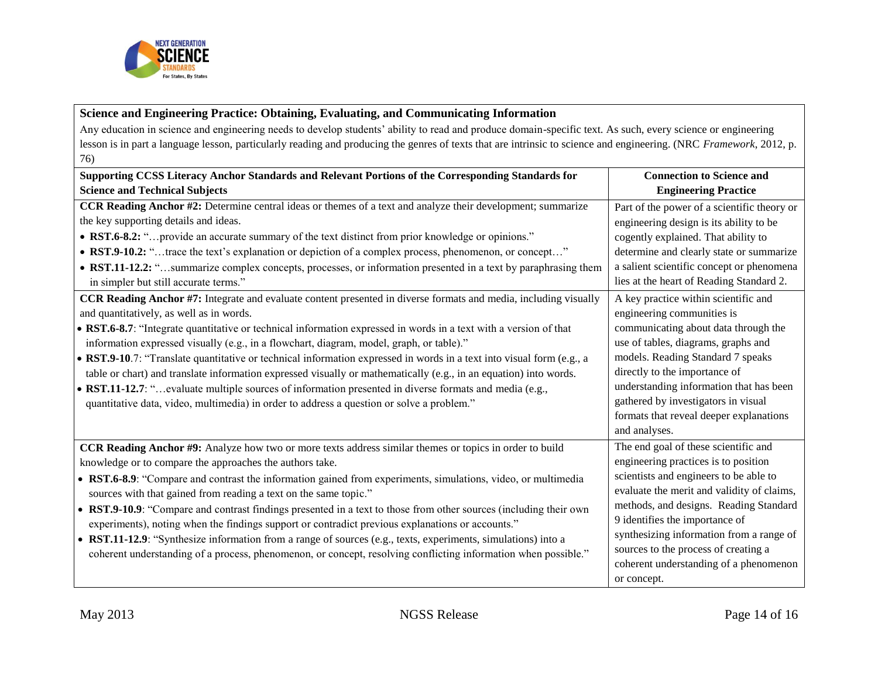

## **Science and Engineering Practice: Obtaining, Evaluating, and Communicating Information**

Any education in science and engineering needs to develop students' ability to read and produce domain-specific text. As such, every science or engineering lesson is in part a language lesson, particularly reading and producing the genres of texts that are intrinsic to science and engineering. (NRC *Framework*, 2012, p. 76)

| Supporting CCSS Literacy Anchor Standards and Relevant Portions of the Corresponding Standards for                                                                                                                                                                                                                                                                                                                                                                                                                                                                                                                                                                                                                                                                                                                                                                                                                                                                                                                                                                                                                                                                                                                                                                                                                                                                    | <b>Connection to Science and</b>                                                                                                                                                                                                                                                                                                                                                                                                                                                                                                                                                                                                            |
|-----------------------------------------------------------------------------------------------------------------------------------------------------------------------------------------------------------------------------------------------------------------------------------------------------------------------------------------------------------------------------------------------------------------------------------------------------------------------------------------------------------------------------------------------------------------------------------------------------------------------------------------------------------------------------------------------------------------------------------------------------------------------------------------------------------------------------------------------------------------------------------------------------------------------------------------------------------------------------------------------------------------------------------------------------------------------------------------------------------------------------------------------------------------------------------------------------------------------------------------------------------------------------------------------------------------------------------------------------------------------|---------------------------------------------------------------------------------------------------------------------------------------------------------------------------------------------------------------------------------------------------------------------------------------------------------------------------------------------------------------------------------------------------------------------------------------------------------------------------------------------------------------------------------------------------------------------------------------------------------------------------------------------|
| <b>Science and Technical Subjects</b>                                                                                                                                                                                                                                                                                                                                                                                                                                                                                                                                                                                                                                                                                                                                                                                                                                                                                                                                                                                                                                                                                                                                                                                                                                                                                                                                 | <b>Engineering Practice</b>                                                                                                                                                                                                                                                                                                                                                                                                                                                                                                                                                                                                                 |
| CCR Reading Anchor #2: Determine central ideas or themes of a text and analyze their development; summarize<br>the key supporting details and ideas.<br>• RST.6-8.2: " provide an accurate summary of the text distinct from prior knowledge or opinions."<br>• RST.9-10.2: "trace the text's explanation or depiction of a complex process, phenomenon, or concept"<br>• RST.11-12.2: "summarize complex concepts, processes, or information presented in a text by paraphrasing them<br>in simpler but still accurate terms."<br>CCR Reading Anchor #7: Integrate and evaluate content presented in diverse formats and media, including visually<br>and quantitatively, as well as in words.<br>• RST.6-8.7: "Integrate quantitative or technical information expressed in words in a text with a version of that<br>information expressed visually (e.g., in a flowchart, diagram, model, graph, or table)."<br>• RST.9-10.7: "Translate quantitative or technical information expressed in words in a text into visual form (e.g., a<br>table or chart) and translate information expressed visually or mathematically (e.g., in an equation) into words.<br>• RST.11-12.7: "evaluate multiple sources of information presented in diverse formats and media (e.g.,<br>quantitative data, video, multimedia) in order to address a question or solve a problem." | Part of the power of a scientific theory or<br>engineering design is its ability to be<br>cogently explained. That ability to<br>determine and clearly state or summarize<br>a salient scientific concept or phenomena<br>lies at the heart of Reading Standard 2.<br>A key practice within scientific and<br>engineering communities is<br>communicating about data through the<br>use of tables, diagrams, graphs and<br>models. Reading Standard 7 speaks<br>directly to the importance of<br>understanding information that has been<br>gathered by investigators in visual<br>formats that reveal deeper explanations<br>and analyses. |
| <b>CCR Reading Anchor #9:</b> Analyze how two or more texts address similar themes or topics in order to build<br>knowledge or to compare the approaches the authors take.<br>• RST.6-8.9: "Compare and contrast the information gained from experiments, simulations, video, or multimedia<br>sources with that gained from reading a text on the same topic."<br>• RST.9-10.9: "Compare and contrast findings presented in a text to those from other sources (including their own<br>experiments), noting when the findings support or contradict previous explanations or accounts."<br>• RST.11-12.9: "Synthesize information from a range of sources (e.g., texts, experiments, simulations) into a<br>coherent understanding of a process, phenomenon, or concept, resolving conflicting information when possible."                                                                                                                                                                                                                                                                                                                                                                                                                                                                                                                                           | The end goal of these scientific and<br>engineering practices is to position<br>scientists and engineers to be able to<br>evaluate the merit and validity of claims,<br>methods, and designs. Reading Standard<br>9 identifies the importance of<br>synthesizing information from a range of<br>sources to the process of creating a<br>coherent understanding of a phenomenon<br>or concept.                                                                                                                                                                                                                                               |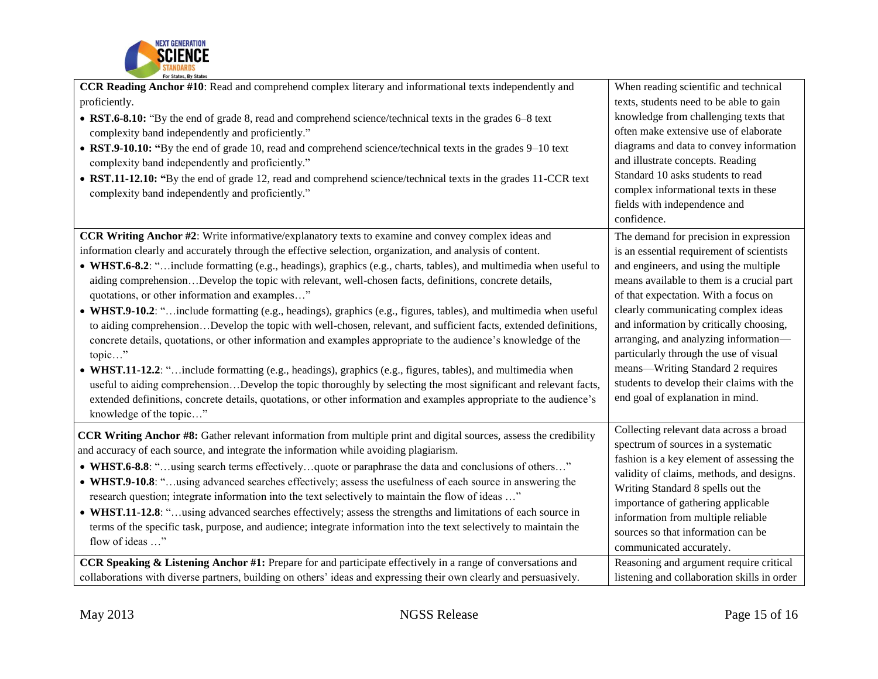

| CCR Reading Anchor #10: Read and comprehend complex literary and informational texts independently and<br>proficiently.<br>• RST.6-8.10: "By the end of grade 8, read and comprehend science/technical texts in the grades 6–8 text<br>complexity band independently and proficiently."<br>• RST.9-10.10: "By the end of grade 10, read and comprehend science/technical texts in the grades 9–10 text<br>complexity band independently and proficiently."<br>• RST.11-12.10: "By the end of grade 12, read and comprehend science/technical texts in the grades 11-CCR text<br>complexity band independently and proficiently."                                                                                                                                                                                                                                                                                                                                                                                                                                                                                                                                                                                                                             | When reading scientific and technical<br>texts, students need to be able to gain<br>knowledge from challenging texts that<br>often make extensive use of elaborate<br>diagrams and data to convey information<br>and illustrate concepts. Reading<br>Standard 10 asks students to read<br>complex informational texts in these<br>fields with independence and<br>confidence.                                                                                                                                |
|--------------------------------------------------------------------------------------------------------------------------------------------------------------------------------------------------------------------------------------------------------------------------------------------------------------------------------------------------------------------------------------------------------------------------------------------------------------------------------------------------------------------------------------------------------------------------------------------------------------------------------------------------------------------------------------------------------------------------------------------------------------------------------------------------------------------------------------------------------------------------------------------------------------------------------------------------------------------------------------------------------------------------------------------------------------------------------------------------------------------------------------------------------------------------------------------------------------------------------------------------------------|--------------------------------------------------------------------------------------------------------------------------------------------------------------------------------------------------------------------------------------------------------------------------------------------------------------------------------------------------------------------------------------------------------------------------------------------------------------------------------------------------------------|
| CCR Writing Anchor #2: Write informative/explanatory texts to examine and convey complex ideas and<br>information clearly and accurately through the effective selection, organization, and analysis of content.<br>• WHST.6-8.2: "include formatting (e.g., headings), graphics (e.g., charts, tables), and multimedia when useful to<br>aiding comprehensionDevelop the topic with relevant, well-chosen facts, definitions, concrete details,<br>quotations, or other information and examples"<br>• WHST.9-10.2: "include formatting (e.g., headings), graphics (e.g., figures, tables), and multimedia when useful<br>to aiding comprehensionDevelop the topic with well-chosen, relevant, and sufficient facts, extended definitions,<br>concrete details, quotations, or other information and examples appropriate to the audience's knowledge of the<br>topic"<br>• WHST.11-12.2: "include formatting (e.g., headings), graphics (e.g., figures, tables), and multimedia when<br>useful to aiding comprehensionDevelop the topic thoroughly by selecting the most significant and relevant facts,<br>extended definitions, concrete details, quotations, or other information and examples appropriate to the audience's<br>knowledge of the topic" | The demand for precision in expression<br>is an essential requirement of scientists<br>and engineers, and using the multiple<br>means available to them is a crucial part<br>of that expectation. With a focus on<br>clearly communicating complex ideas<br>and information by critically choosing,<br>arranging, and analyzing information-<br>particularly through the use of visual<br>means-Writing Standard 2 requires<br>students to develop their claims with the<br>end goal of explanation in mind. |
| <b>CCR Writing Anchor #8:</b> Gather relevant information from multiple print and digital sources, assess the credibility<br>and accuracy of each source, and integrate the information while avoiding plagiarism.<br>• WHST.6-8.8: "using search terms effectivelyquote or paraphrase the data and conclusions of others"<br>• WHST.9-10.8: "using advanced searches effectively; assess the usefulness of each source in answering the<br>research question; integrate information into the text selectively to maintain the flow of ideas "<br>• WHST.11-12.8: "using advanced searches effectively; assess the strengths and limitations of each source in<br>terms of the specific task, purpose, and audience; integrate information into the text selectively to maintain the<br>flow of ideas "<br><b>CCR Speaking &amp; Listening Anchor #1:</b> Prepare for and participate effectively in a range of conversations and                                                                                                                                                                                                                                                                                                                            | Collecting relevant data across a broad<br>spectrum of sources in a systematic<br>fashion is a key element of assessing the<br>validity of claims, methods, and designs.<br>Writing Standard 8 spells out the<br>importance of gathering applicable<br>information from multiple reliable<br>sources so that information can be<br>communicated accurately.<br>Reasoning and argument require critical                                                                                                       |
| collaborations with diverse partners, building on others' ideas and expressing their own clearly and persuasively.                                                                                                                                                                                                                                                                                                                                                                                                                                                                                                                                                                                                                                                                                                                                                                                                                                                                                                                                                                                                                                                                                                                                           | listening and collaboration skills in order                                                                                                                                                                                                                                                                                                                                                                                                                                                                  |